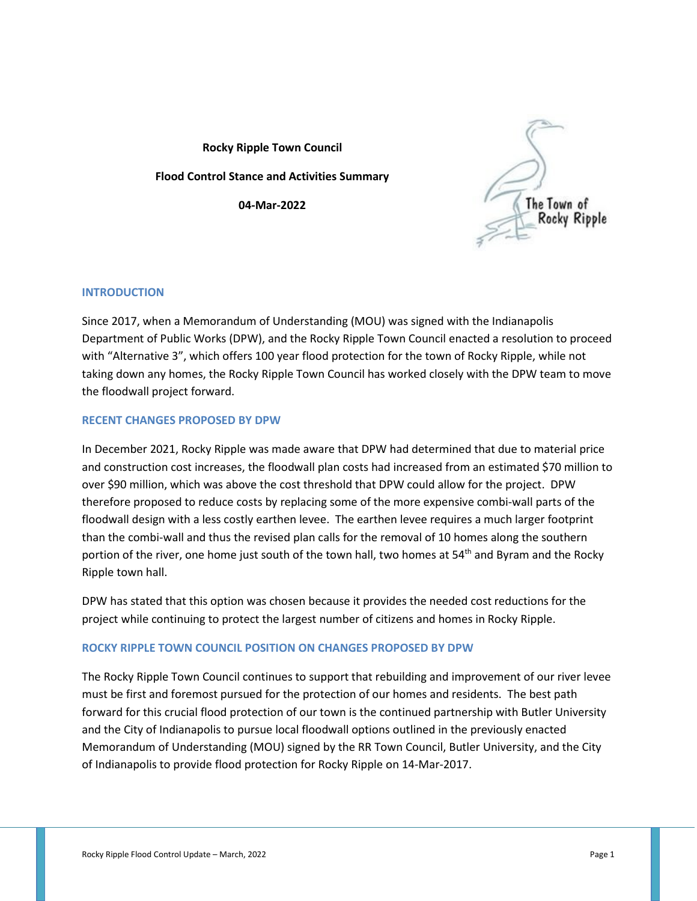**Rocky Ripple Town Council Flood Control Stance and Activities Summary 04-Mar-2022**



## **INTRODUCTION**

Since 2017, when a Memorandum of Understanding (MOU) was signed with the Indianapolis Department of Public Works (DPW), and the Rocky Ripple Town Council enacted a resolution to proceed with "Alternative 3", which offers 100 year flood protection for the town of Rocky Ripple, while not taking down any homes, the Rocky Ripple Town Council has worked closely with the DPW team to move the floodwall project forward.

## **RECENT CHANGES PROPOSED BY DPW**

In December 2021, Rocky Ripple was made aware that DPW had determined that due to material price and construction cost increases, the floodwall plan costs had increased from an estimated \$70 million to over \$90 million, which was above the cost threshold that DPW could allow for the project. DPW therefore proposed to reduce costs by replacing some of the more expensive combi-wall parts of the floodwall design with a less costly earthen levee. The earthen levee requires a much larger footprint than the combi-wall and thus the revised plan calls for the removal of 10 homes along the southern portion of the river, one home just south of the town hall, two homes at 54<sup>th</sup> and Byram and the Rocky Ripple town hall.

DPW has stated that this option was chosen because it provides the needed cost reductions for the project while continuing to protect the largest number of citizens and homes in Rocky Ripple.

## **ROCKY RIPPLE TOWN COUNCIL POSITION ON CHANGES PROPOSED BY DPW**

The Rocky Ripple Town Council continues to support that rebuilding and improvement of our river levee must be first and foremost pursued for the protection of our homes and residents. The best path forward for this crucial flood protection of our town is the continued partnership with Butler University and the City of Indianapolis to pursue local floodwall options outlined in the previously enacted Memorandum of Understanding (MOU) signed by the RR Town Council, Butler University, and the City of Indianapolis to provide flood protection for Rocky Ripple on 14-Mar-2017.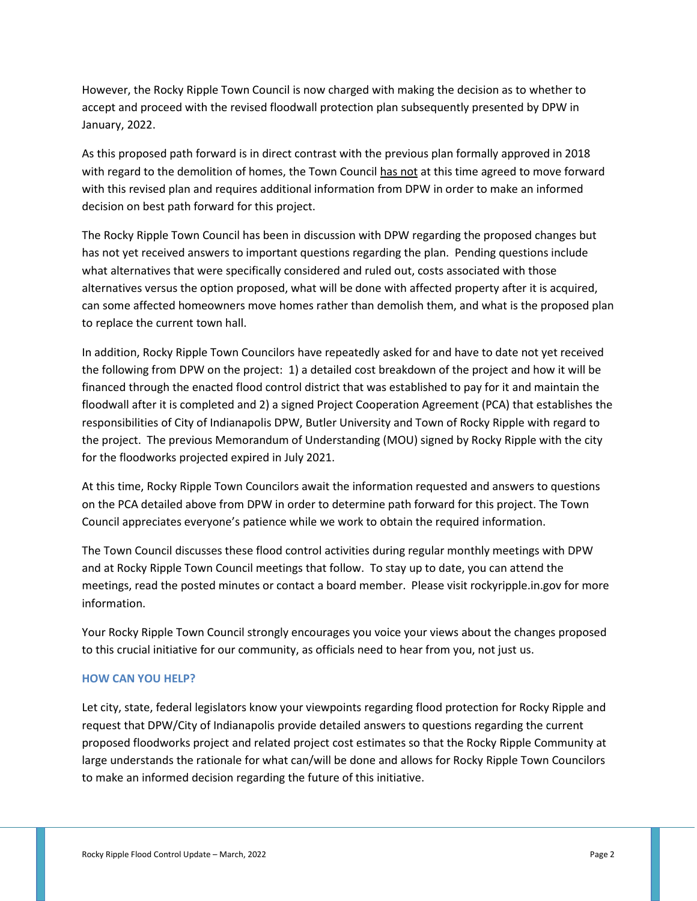However, the Rocky Ripple Town Council is now charged with making the decision as to whether to accept and proceed with the revised floodwall protection plan subsequently presented by DPW in January, 2022.

As this proposed path forward is in direct contrast with the previous plan formally approved in 2018 with regard to the demolition of homes, the Town Council has not at this time agreed to move forward with this revised plan and requires additional information from DPW in order to make an informed decision on best path forward for this project.

The Rocky Ripple Town Council has been in discussion with DPW regarding the proposed changes but has not yet received answers to important questions regarding the plan. Pending questions include what alternatives that were specifically considered and ruled out, costs associated with those alternatives versus the option proposed, what will be done with affected property after it is acquired, can some affected homeowners move homes rather than demolish them, and what is the proposed plan to replace the current town hall.

In addition, Rocky Ripple Town Councilors have repeatedly asked for and have to date not yet received the following from DPW on the project: 1) a detailed cost breakdown of the project and how it will be financed through the enacted flood control district that was established to pay for it and maintain the floodwall after it is completed and 2) a signed Project Cooperation Agreement (PCA) that establishes the responsibilities of City of Indianapolis DPW, Butler University and Town of Rocky Ripple with regard to the project. The previous Memorandum of Understanding (MOU) signed by Rocky Ripple with the city for the floodworks projected expired in July 2021.

At this time, Rocky Ripple Town Councilors await the information requested and answers to questions on the PCA detailed above from DPW in order to determine path forward for this project. The Town Council appreciates everyone's patience while we work to obtain the required information.

The Town Council discusses these flood control activities during regular monthly meetings with DPW and at Rocky Ripple Town Council meetings that follow. To stay up to date, you can attend the meetings, read the posted minutes or contact a board member. Please visit rockyripple.in.gov for more information.

Your Rocky Ripple Town Council strongly encourages you voice your views about the changes proposed to this crucial initiative for our community, as officials need to hear from you, not just us.

## **HOW CAN YOU HELP?**

Let city, state, federal legislators know your viewpoints regarding flood protection for Rocky Ripple and request that DPW/City of Indianapolis provide detailed answers to questions regarding the current proposed floodworks project and related project cost estimates so that the Rocky Ripple Community at large understands the rationale for what can/will be done and allows for Rocky Ripple Town Councilors to make an informed decision regarding the future of this initiative.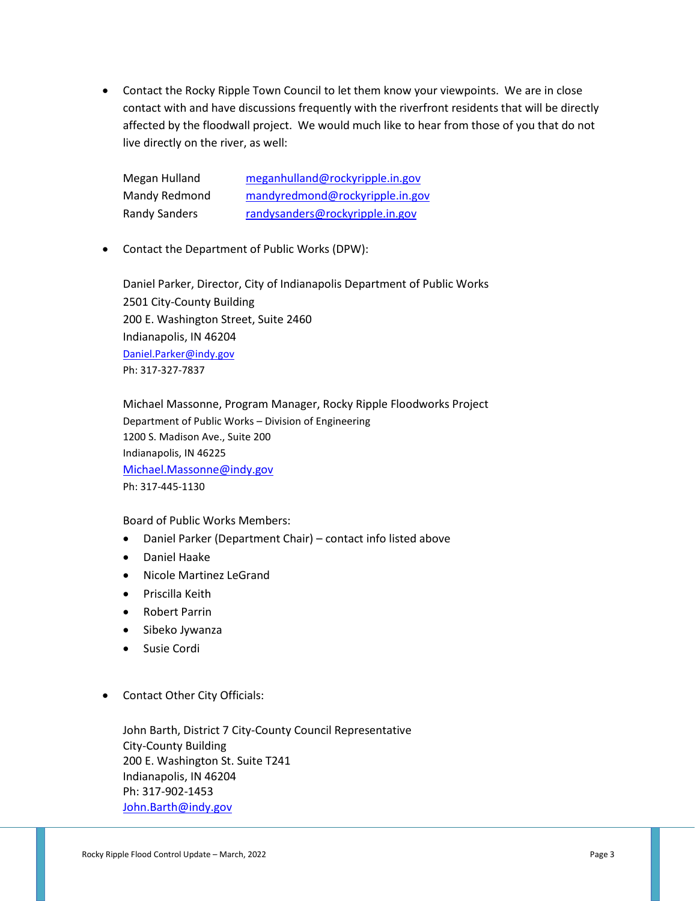• Contact the Rocky Ripple Town Council to let them know your viewpoints. We are in close contact with and have discussions frequently with the riverfront residents that will be directly affected by the floodwall project. We would much like to hear from those of you that do not live directly on the river, as well:

Megan Hulland [meganhulland@rockyripple.in.gov](mailto:meganhulland@rockyripple.in.gov) Mandy Redmond [mandyredmond@rockyripple.in.gov](mailto:mandyredmond@rockyripple.in.gov) Randy Sanders [randysanders@rockyripple.in.gov](mailto:randysanders@rockyripple.in.gov)

• Contact the Department of Public Works (DPW):

Daniel Parker, Director, City of Indianapolis Department of Public Works 2501 City-County Building 200 E. Washington Street, Suite 2460 Indianapolis, IN 46204 [Daniel.Parker@indy.gov](mailto:Daniel.Parker@indy.gov) Ph: 317-327-7837

Michael Massonne, Program Manager, Rocky Ripple Floodworks Project Department of Public Works – Division of Engineering 1200 S. Madison Ave., Suite 200 Indianapolis, IN 46225 [Michael.Massonne@indy.gov](mailto:Michael.Massonne@indy.gov) Ph: 317-445-1130

Board of Public Works Members:

- Daniel Parker (Department Chair) contact info listed above
- Daniel Haake
- Nicole Martinez LeGrand
- Priscilla Keith
- Robert Parrin
- Sibeko Jywanza
- Susie Cordi
- Contact Other City Officials:

John Barth, District 7 City-County Council Representative City-County Building 200 E. Washington St. Suite T241 Indianapolis, IN 46204 Ph: 317-902-1453 [John.Barth@indy.gov](mailto:John.Barth@indy.gov)